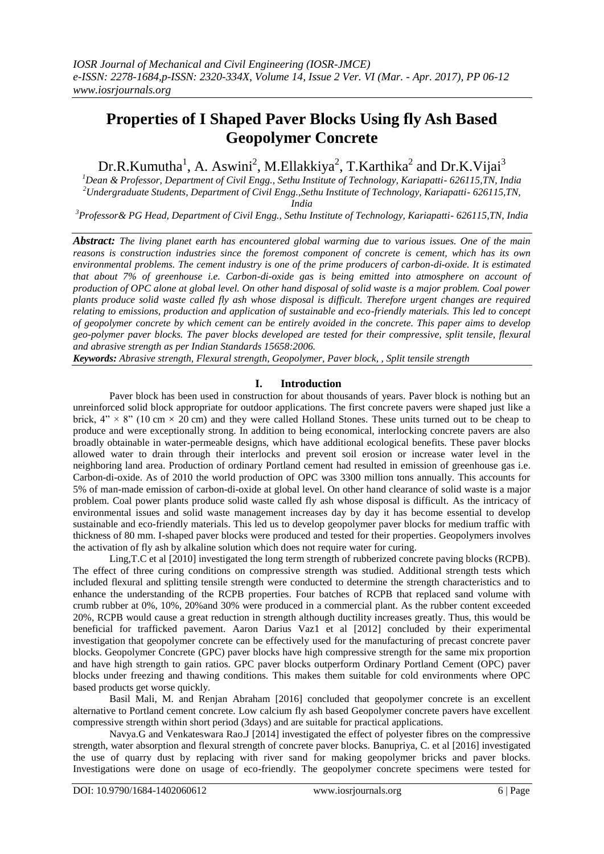# **Properties of I Shaped Paver Blocks Using fly Ash Based Geopolymer Concrete**

Dr.R.Kumutha<sup>1</sup>, A. Aswini<sup>2</sup>, M.Ellakkiya<sup>2</sup>, T.Karthika<sup>2</sup> and Dr.K.Vijai<sup>3</sup>

*<sup>1</sup>Dean & Professor, Department of Civil Engg., Sethu Institute of Technology, Kariapatti- 626115,TN, India <sup>2</sup>Undergraduate Students, Department of Civil Engg.,Sethu Institute of Technology, Kariapatti- 626115,TN, India*

*<sup>3</sup>Professor& PG Head, Department of Civil Engg., Sethu Institute of Technology, Kariapatti- 626115,TN, India*

*Abstract: The living planet earth has encountered global warming due to various issues. One of the main reasons is construction industries since the foremost component of concrete is cement, which has its own environmental problems. The cement industry is one of the prime producers of carbon-di-oxide. It is estimated that about 7% of greenhouse i.e. Carbon-di-oxide gas is being emitted into atmosphere on account of production of OPC alone at global level. On other hand disposal of solid waste is a major problem. Coal power plants produce solid waste called fly ash whose disposal is difficult. Therefore urgent changes are required relating to emissions, production and application of sustainable and eco-friendly materials. This led to concept of geopolymer concrete by which cement can be entirely avoided in the concrete. This paper aims to develop geo-polymer paver blocks. The paver blocks developed are tested for their compressive, split tensile, flexural and abrasive strength as per Indian Standards 15658:2006.*

*Keywords: Abrasive strength, Flexural strength, Geopolymer, Paver block, , Split tensile strength*

# **I. Introduction**

Paver block has been used in construction for about thousands of years. Paver block is nothing but an unreinforced solid block appropriate for outdoor applications. The first concrete pavers were shaped just like a brick,  $4'' \times 8''$  (10 cm  $\times$  20 cm) and they were called Holland Stones. These units turned out to be cheap to produce and were exceptionally strong. In addition to being economical, interlocking concrete pavers are also broadly obtainable in water-permeable designs, which have additional ecological benefits. These paver blocks allowed water to drain through their interlocks and prevent soil erosion or increase water level in the neighboring land area. Production of ordinary Portland cement had resulted in emission of greenhouse gas i.e. Carbon-di-oxide. As of 2010 the world production of OPC was 3300 million tons annually. This accounts for 5% of man-made emission of carbon-di-oxide at global level. On other hand clearance of solid waste is a major problem. Coal power plants produce solid waste called fly ash whose disposal is difficult. As the intricacy of environmental issues and solid waste management increases day by day it has become essential to develop sustainable and eco-friendly materials. This led us to develop geopolymer paver blocks for medium traffic with thickness of 80 mm. I-shaped paver blocks were produced and tested for their properties. Geopolymers involves the activation of fly ash by alkaline solution which does not require water for curing.

Ling,T.C et al [2010] investigated the long term strength of rubberized concrete paving blocks (RCPB). The effect of three curing conditions on compressive strength was studied. Additional strength tests which included flexural and splitting tensile strength were conducted to determine the strength characteristics and to enhance the understanding of the RCPB properties. Four batches of RCPB that replaced sand volume with crumb rubber at 0%, 10%, 20%and 30% were produced in a commercial plant. As the rubber content exceeded 20%, RCPB would cause a great reduction in strength although ductility increases greatly. Thus, this would be beneficial for trafficked pavement. Aaron Darius Vaz1 et al [2012] concluded by their experimental investigation that geopolymer concrete can be effectively used for the manufacturing of precast concrete paver blocks. Geopolymer Concrete (GPC) paver blocks have high compressive strength for the same mix proportion and have high strength to gain ratios. GPC paver blocks outperform Ordinary Portland Cement (OPC) paver blocks under freezing and thawing conditions. This makes them suitable for cold environments where OPC based products get worse quickly.

Basil Mali, M. and Renjan Abraham [2016] concluded that geopolymer concrete is an excellent alternative to Portland cement concrete. Low calcium fly ash based Geopolymer concrete pavers have excellent compressive strength within short period (3days) and are suitable for practical applications.

Navya.G and Venkateswara Rao.J [2014] investigated the effect of polyester fibres on the compressive strength, water absorption and flexural strength of concrete paver blocks. Banupriya, C. et al [2016] investigated the use of quarry dust by replacing with river sand for making geopolymer bricks and paver blocks. Investigations were done on usage of eco-friendly. The geopolymer concrete specimens were tested for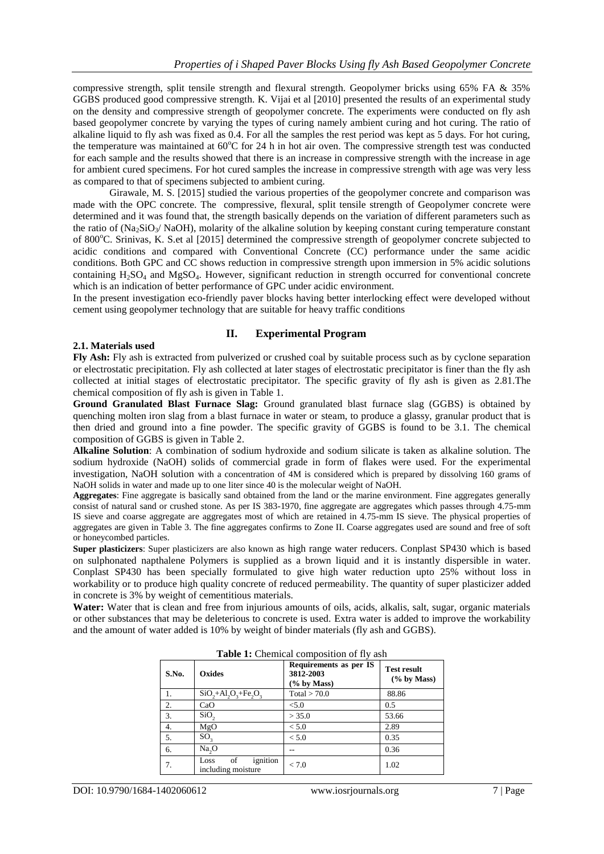compressive strength, split tensile strength and flexural strength. Geopolymer bricks using 65% FA & 35% GGBS produced good compressive strength. K. Vijai et al [2010] presented the results of an experimental study on the density and compressive strength of geopolymer concrete. The experiments were conducted on fly ash based geopolymer concrete by varying the types of curing namely ambient curing and hot curing. The ratio of alkaline liquid to fly ash was fixed as 0.4. For all the samples the rest period was kept as 5 days. For hot curing, the temperature was maintained at  $60^{\circ}$ C for 24 h in hot air oven. The compressive strength test was conducted for each sample and the results showed that there is an increase in compressive strength with the increase in age for ambient cured specimens. For hot cured samples the increase in compressive strength with age was very less as compared to that of specimens subjected to ambient curing.

Girawale, M. S. [2015] studied the various properties of the geopolymer concrete and comparison was made with the OPC concrete. The compressive, flexural, split tensile strength of Geopolymer concrete were determined and it was found that, the strength basically depends on the variation of different parameters such as the ratio of  $(Na_2SiO_3/NaOH)$ , molarity of the alkaline solution by keeping constant curing temperature constant of 800<sup>o</sup>C. Srinivas, K. S.et al [2015] determined the compressive strength of geopolymer concrete subjected to acidic conditions and compared with Conventional Concrete (CC) performance under the same acidic conditions. Both GPC and CC shows reduction in compressive strength upon immersion in 5% acidic solutions containing  $H_2SO_4$  and  $MgSO_4$ . However, significant reduction in strength occurred for conventional concrete which is an indication of better performance of GPC under acidic environment.

In the present investigation eco-friendly paver blocks having better interlocking effect were developed without cement using geopolymer technology that are suitable for heavy traffic conditions

## **2.1. Materials used**

## **II. Experimental Program**

**Fly Ash:** Fly ash is extracted from pulverized or crushed coal by suitable process such as by cyclone separation or electrostatic precipitation. Fly ash collected at later stages of electrostatic precipitator is finer than the fly ash collected at initial stages of electrostatic precipitator. The specific gravity of fly ash is given as 2.81.The chemical composition of fly ash is given in Table 1.

**Ground Granulated Blast Furnace Slag:** Ground granulated blast furnace slag (GGBS) is obtained by quenching molten iron slag from a blast furnace in water or steam, to produce a glassy, granular product that is then dried and ground into a fine powder. The specific gravity of GGBS is found to be 3.1. The chemical composition of GGBS is given in Table 2.

**Alkaline Solution**: A combination of sodium hydroxide and sodium silicate is taken as alkaline solution. The sodium hydroxide (NaOH) solids of commercial grade in form of flakes were used. For the experimental investigation, NaOH solution with a concentration of 4M is considered which is prepared by dissolving 160 grams of NaOH solids in water and made up to one liter since 40 is the molecular weight of NaOH.

**Aggregates**: Fine aggregate is basically sand obtained from the land or the marine environment. Fine aggregates generally consist of natural sand or crushed stone. As per IS 383-1970, fine aggregate are aggregates which passes through 4.75-mm IS sieve and coarse aggregate are aggregates most of which are retained in 4.75-mm IS sieve. The physical properties of aggregates are given in Table 3. The fine aggregates confirms to Zone II. Coarse aggregates used are sound and free of soft or honeycombed particles.

**Super plasticizers**: Super plasticizers are also known as high range water reducers. Conplast SP430 which is based on sulphonated napthalene Polymers is supplied as a brown liquid and it is instantly dispersible in water. Conplast SP430 has been specially formulated to give high water reduction upto 25% without loss in workability or to produce high quality concrete of reduced permeability. The quantity of super plasticizer added in concrete is 3% by weight of cementitious materials.

**Water:** Water that is clean and free from injurious amounts of oils, acids, alkalis, salt, sugar, organic materials or other substances that may be deleterious to concrete is used. Extra water is added to improve the workability and the amount of water added is 10% by weight of binder materials (fly ash and GGBS).

| S.No. | Oxides                                       | Requirements as per IS<br>3812-2003<br>$(\%$ by Mass) | <b>Test result</b><br>$(\%$ by Mass) |  |
|-------|----------------------------------------------|-------------------------------------------------------|--------------------------------------|--|
| 1.    | $SiO_2 + Al_2O_3 + Fe_2O_3$                  | Total $> 70.0$                                        | 88.86                                |  |
| 2.    | CaO                                          | < 5.0                                                 | 0.5                                  |  |
| 3.    | SiO <sub>2</sub>                             | > 35.0                                                | 53.66                                |  |
| 4.    | MgO                                          | < 5.0                                                 | 2.89                                 |  |
| 5.    | $SO_{\rm q}$                                 | < 5.0                                                 | 0.35                                 |  |
| 6.    | $Na_2O$                                      |                                                       | 0.36                                 |  |
| 7.    | ignition<br>of<br>Loss<br>including moisture | < 7.0                                                 | 1.02                                 |  |

**Table 1:** Chemical composition of fly ash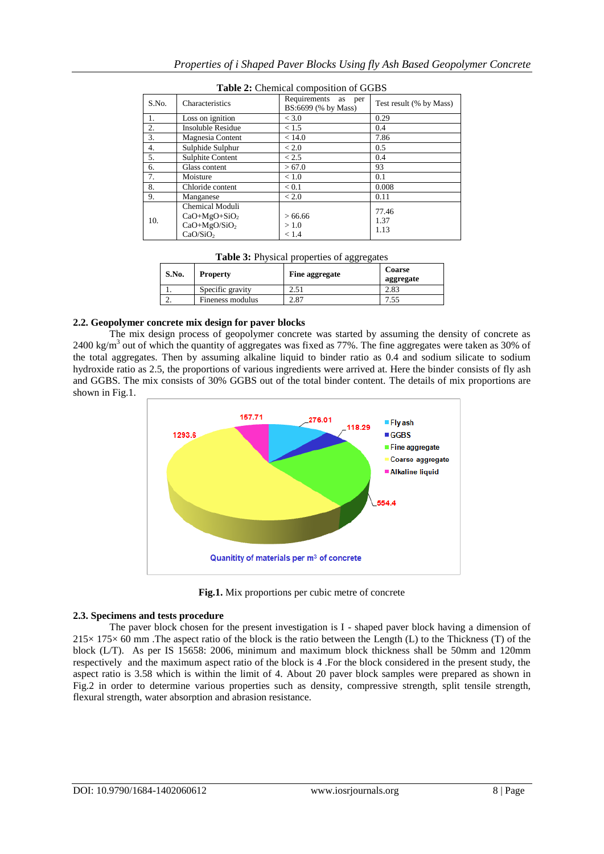| Properties of i Shaped Paver Blocks Using fly Ash Based Geopolymer Concrete |  |  |
|-----------------------------------------------------------------------------|--|--|

77.46 1.37 1.13

|  | Table 3: Physical properties of aggregates |
|--|--------------------------------------------|
|--|--------------------------------------------|

 $> 66.66$  $> 1.0$  $< 1.4$ 

5. Sulphite Content 2.5 0.4  $\begin{array}{c|c|c|c|c|c|c|c|c} \hline 6. & & & & & & & 93 \\ \hline 7. & & \text{Moisture} & & & & & & 0.1 \\ \hline \end{array}$ 

8. Chloride content  $\begin{array}{|l|c|c|c|c|c|c|c|} \hline 8. & \text{Chloride content} & & & 0.008 \\ \hline 9. & \text{Manganese} & & & & & 0.11 \\ \hline \end{array}$ 

| S.No. | <b>Property</b>  | --00--0----<br><b>Fine aggregate</b> | Coarse<br>aggregate |
|-------|------------------|--------------------------------------|---------------------|
|       | Specific gravity | 2.51                                 | 2.83                |
| ـ.    | Fineness modulus | 2.87                                 | ں ر                 |

## **2.2. Geopolymer concrete mix design for paver blocks**

Sulphide Sulphur

Manganese

Chemical Moduli CaO+MgO+SiO<sup>2</sup> CaO+MgO/SiO<sup>2</sup>  $CaO/SiO<sub>2</sub>$ 

10.

7. Moisture  $|$  < 1.0

The mix design process of geopolymer concrete was started by assuming the density of concrete as 2400 kg/m<sup>3</sup> out of which the quantity of aggregates was fixed as 77%. The fine aggregates were taken as 30% of the total aggregates. Then by assuming alkaline liquid to binder ratio as 0.4 and sodium silicate to sodium hydroxide ratio as 2.5, the proportions of various ingredients were arrived at. Here the binder consists of fly ash and GGBS. The mix consists of 30% GGBS out of the total binder content. The details of mix proportions are shown in Fig.1.



**Fig.1.** Mix proportions per cubic metre of concrete

## **2.3. Specimens and tests procedure**

The paver block chosen for the present investigation is I - shaped paver block having a dimension of  $215\times 175\times 60$  mm. The aspect ratio of the block is the ratio between the Length (L) to the Thickness (T) of the block (L/T). As per IS 15658: 2006, minimum and maximum block thickness shall be 50mm and 120mm respectively and the maximum aspect ratio of the block is 4 .For the block considered in the present study, the aspect ratio is 3.58 which is within the limit of 4. About 20 paver block samples were prepared as shown in Fig.2 in order to determine various properties such as density, compressive strength, split tensile strength, flexural strength, water absorption and abrasion resistance.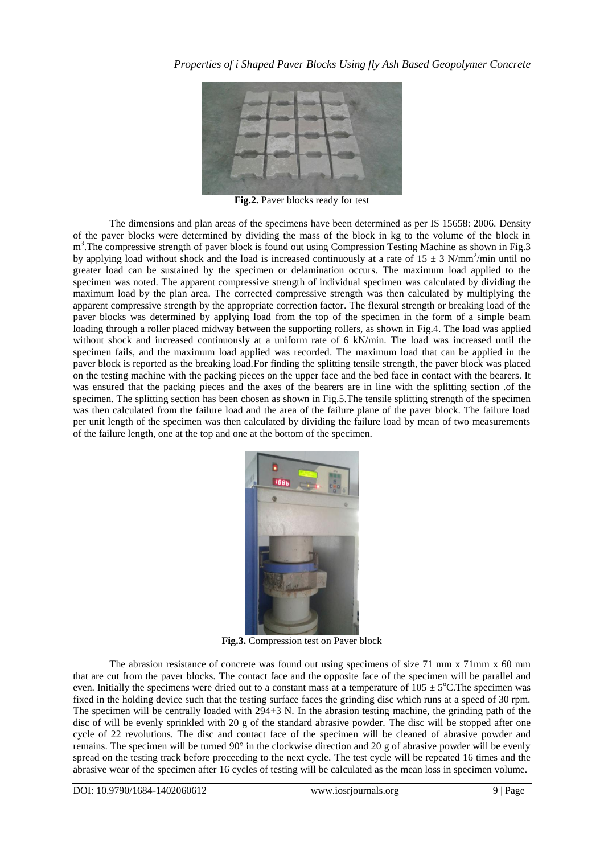

**Fig.2.** Paver blocks ready for test

The dimensions and plan areas of the specimens have been determined as per IS 15658: 2006. Density of the paver blocks were determined by dividing the mass of the block in kg to the volume of the block in m<sup>3</sup>. The compressive strength of paver block is found out using Compression Testing Machine as shown in Fig. 3 by applying load without shock and the load is increased continuously at a rate of  $15 \pm 3$  N/mm<sup>2</sup>/min until no greater load can be sustained by the specimen or delamination occurs. The maximum load applied to the specimen was noted. The apparent compressive strength of individual specimen was calculated by dividing the maximum load by the plan area. The corrected compressive strength was then calculated by multiplying the apparent compressive strength by the appropriate correction factor. The flexural strength or breaking load of the paver blocks was determined by applying load from the top of the specimen in the form of a simple beam loading through a roller placed midway between the supporting rollers, as shown in Fig.4. The load was applied without shock and increased continuously at a uniform rate of 6 kN/min. The load was increased until the specimen fails, and the maximum load applied was recorded. The maximum load that can be applied in the paver block is reported as the breaking load.For finding the splitting tensile strength, the paver block was placed on the testing machine with the packing pieces on the upper face and the bed face in contact with the bearers. It was ensured that the packing pieces and the axes of the bearers are in line with the splitting section .of the specimen. The splitting section has been chosen as shown in Fig.5.The tensile splitting strength of the specimen was then calculated from the failure load and the area of the failure plane of the paver block. The failure load per unit length of the specimen was then calculated by dividing the failure load by mean of two measurements of the failure length, one at the top and one at the bottom of the specimen.



**Fig.3.** Compression test on Paver block

The abrasion resistance of concrete was found out using specimens of size 71 mm x 71mm x 60 mm that are cut from the paver blocks. The contact face and the opposite face of the specimen will be parallel and even. Initially the specimens were dried out to a constant mass at a temperature of  $105 \pm 5^{\circ}$ C. The specimen was fixed in the holding device such that the testing surface faces the grinding disc which runs at a speed of 30 rpm. The specimen will be centrally loaded with 294+3 N. In the abrasion testing machine, the grinding path of the disc of will be evenly sprinkled with 20 g of the standard abrasive powder. The disc will be stopped after one cycle of 22 revolutions. The disc and contact face of the specimen will be cleaned of abrasive powder and remains. The specimen will be turned 90° in the clockwise direction and 20 g of abrasive powder will be evenly spread on the testing track before proceeding to the next cycle. The test cycle will be repeated 16 times and the abrasive wear of the specimen after 16 cycles of testing will be calculated as the mean loss in specimen volume.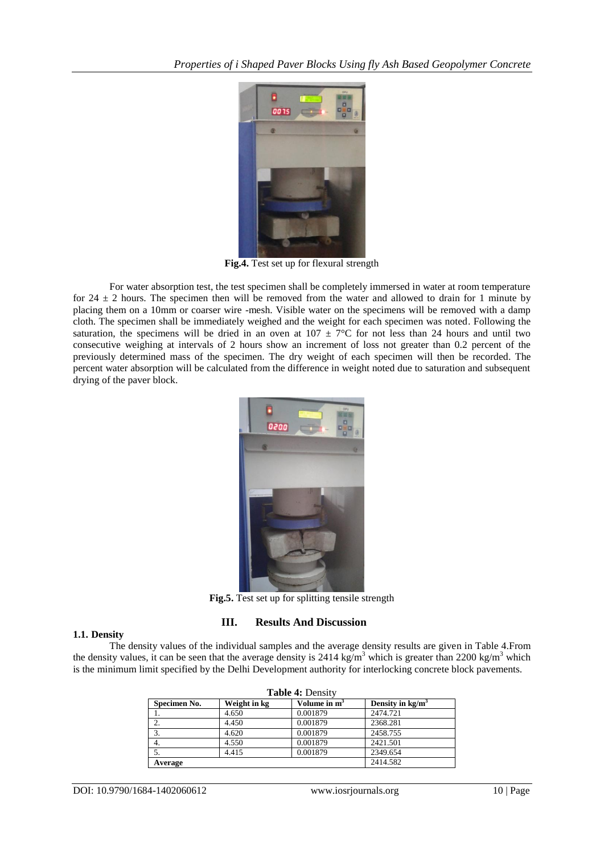

**Fig.4.** Test set up for flexural strength

For water absorption test, the test specimen shall be completely immersed in water at room temperature for 24  $\pm$  2 hours. The specimen then will be removed from the water and allowed to drain for 1 minute by placing them on a 10mm or coarser wire -mesh. Visible water on the specimens will be removed with a damp cloth. The specimen shall be immediately weighed and the weight for each specimen was noted. Following the saturation, the specimens will be dried in an oven at  $107 \pm 7^{\circ}$ C for not less than 24 hours and until two consecutive weighing at intervals of 2 hours show an increment of loss not greater than 0.2 percent of the previously determined mass of the specimen. The dry weight of each specimen will then be recorded. The percent water absorption will be calculated from the difference in weight noted due to saturation and subsequent drying of the paver block.



**Fig.5.** Test set up for splitting tensile strength

# **III. Results And Discussion**

## **1.1. Density**

The density values of the individual samples and the average density results are given in Table 4.From the density values, it can be seen that the average density is 2414 kg/m<sup>3</sup> which is greater than 2200 kg/m<sup>3</sup> which is the minimum limit specified by the Delhi Development authority for interlocking concrete block pavements.

| <b>Table 4: Density</b> |              |                |                    |  |  |
|-------------------------|--------------|----------------|--------------------|--|--|
| Specimen No.            | Weight in kg | Volume in $m3$ | Density in $kg/m3$ |  |  |
|                         | 4.650        | 0.001879       | 2474.721           |  |  |
| 2.                      | 4.450        | 0.001879       | 2368.281           |  |  |
| 3.                      | 4.620        | 0.001879       | 2458.755           |  |  |
| 4.                      | 4.550        | 0.001879       | 2421.501           |  |  |
|                         | 4.415        | 0.001879       | 2349.654           |  |  |
| Average                 | 2414.582     |                |                    |  |  |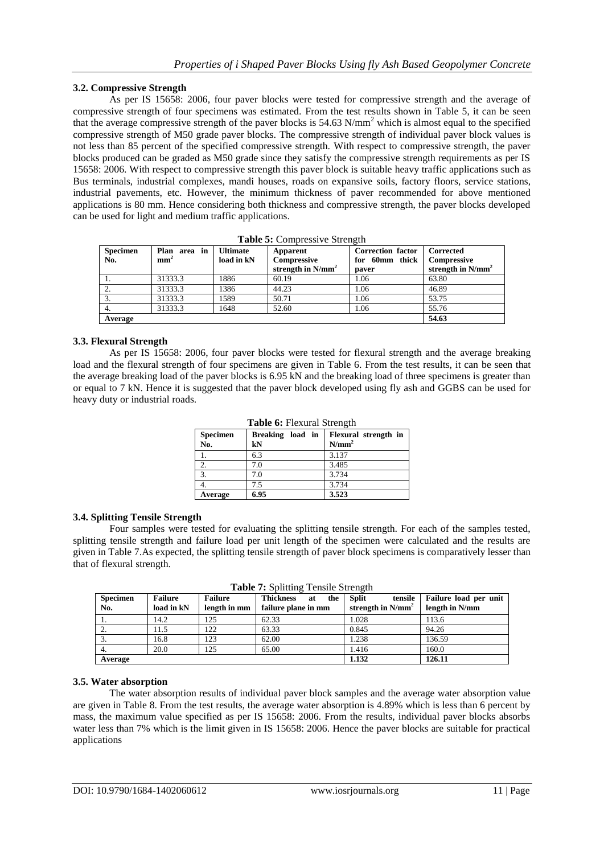## **3.2. Compressive Strength**

As per IS 15658: 2006, four paver blocks were tested for compressive strength and the average of compressive strength of four specimens was estimated. From the test results shown in Table 5, it can be seen that the average compressive strength of the paver blocks is  $54.63$  N/mm<sup>2</sup> which is almost equal to the specified compressive strength of M50 grade paver blocks. The compressive strength of individual paver block values is not less than 85 percent of the specified compressive strength. With respect to compressive strength, the paver blocks produced can be graded as M50 grade since they satisfy the compressive strength requirements as per IS 15658: 2006. With respect to compressive strength this paver block is suitable heavy traffic applications such as Bus terminals, industrial complexes, mandi houses, roads on expansive soils, factory floors, service stations, industrial pavements, etc. However, the minimum thickness of paver recommended for above mentioned applications is 80 mm. Hence considering both thickness and compressive strength, the paver blocks developed can be used for light and medium traffic applications.

| Specimen | Plan area in    | Ultimate   | Apparent             | <b>Correction factor</b>     | Corrected            |  |
|----------|-----------------|------------|----------------------|------------------------------|----------------------|--|
| No.      | mm <sup>2</sup> | load in kN | Compressive          | for 60mm thick   Compressive |                      |  |
|          |                 |            | strength in $N/mm^2$ | paver                        | strength in $N/mm^2$ |  |
| -1.      | 31333.3         | 1886       | 60.19                | 1.06                         | 63.80                |  |
| 2.       | 31333.3         | 1386       | 44.23                | 1.06                         | 46.89                |  |
| 3.       | 31333.3         | 1589       | 50.71                | 1.06                         | 53.75                |  |
| 4.       | 31333.3         | 1648       | 52.60                | 1.06                         | 55.76                |  |
| Average  |                 |            |                      |                              | 54.63                |  |

**Table 5:** Compressive Strength

## **3.3. Flexural Strength**

As per IS 15658: 2006, four paver blocks were tested for flexural strength and the average breaking load and the flexural strength of four specimens are given in Table 6. From the test results, it can be seen that the average breaking load of the paver blocks is 6.95 kN and the breaking load of three specimens is greater than or equal to 7 kN. Hence it is suggested that the paver block developed using fly ash and GGBS can be used for heavy duty or industrial roads.

| <b>Specimen</b><br>No. | Breaking load in<br>kN | Flexural strength in<br>N/mm <sup>2</sup> |
|------------------------|------------------------|-------------------------------------------|
|                        | 6.3                    | 3.137                                     |
|                        | 7.0                    | 3.485                                     |
| 3.                     | 7.0                    | 3.734                                     |
|                        | 7.5                    | 3.734                                     |
| Average                | 6.95                   | 3.523                                     |

**Table 6:** Flexural Strength

## **3.4. Splitting Tensile Strength**

Four samples were tested for evaluating the splitting tensile strength. For each of the samples tested, splitting tensile strength and failure load per unit length of the specimen were calculated and the results are given in Table 7.As expected, the splitting tensile strength of paver block specimens is comparatively lesser than that of flexural strength.

| <b>Tuble</b> <i>i</i> bending Tensile buting the |                              |                                |                                                      |                                                 |                                         |  |  |
|--------------------------------------------------|------------------------------|--------------------------------|------------------------------------------------------|-------------------------------------------------|-----------------------------------------|--|--|
| <b>Specimen</b><br>No.                           | <b>Failure</b><br>load in kN | <b>Failure</b><br>length in mm | <b>Thickness</b><br>the<br>at<br>failure plane in mm | <b>Split</b><br>tensile<br>strength in $N/mm^2$ | Failure load per unit<br>length in N/mm |  |  |
| -1.                                              | 14.2                         | 125                            | 62.33                                                | 1.028                                           | 113.6                                   |  |  |
|                                                  | 11.5                         | 122                            | 63.33                                                | 0.845                                           | 94.26                                   |  |  |
|                                                  | 16.8                         | 123                            | 62.00                                                | 1.238                                           | 136.59                                  |  |  |
|                                                  | 20.0                         | 125                            | 65.00                                                | 1.416                                           | 160.0                                   |  |  |
| Average                                          |                              |                                |                                                      | 1.132                                           | 126.11                                  |  |  |

**Table 7: Splitting Tensile Strength** 

## **3.5. Water absorption**

The water absorption results of individual paver block samples and the average water absorption value are given in Table 8. From the test results, the average water absorption is 4.89% which is less than 6 percent by mass, the maximum value specified as per IS 15658: 2006. From the results, individual paver blocks absorbs water less than 7% which is the limit given in IS 15658: 2006. Hence the paver blocks are suitable for practical applications